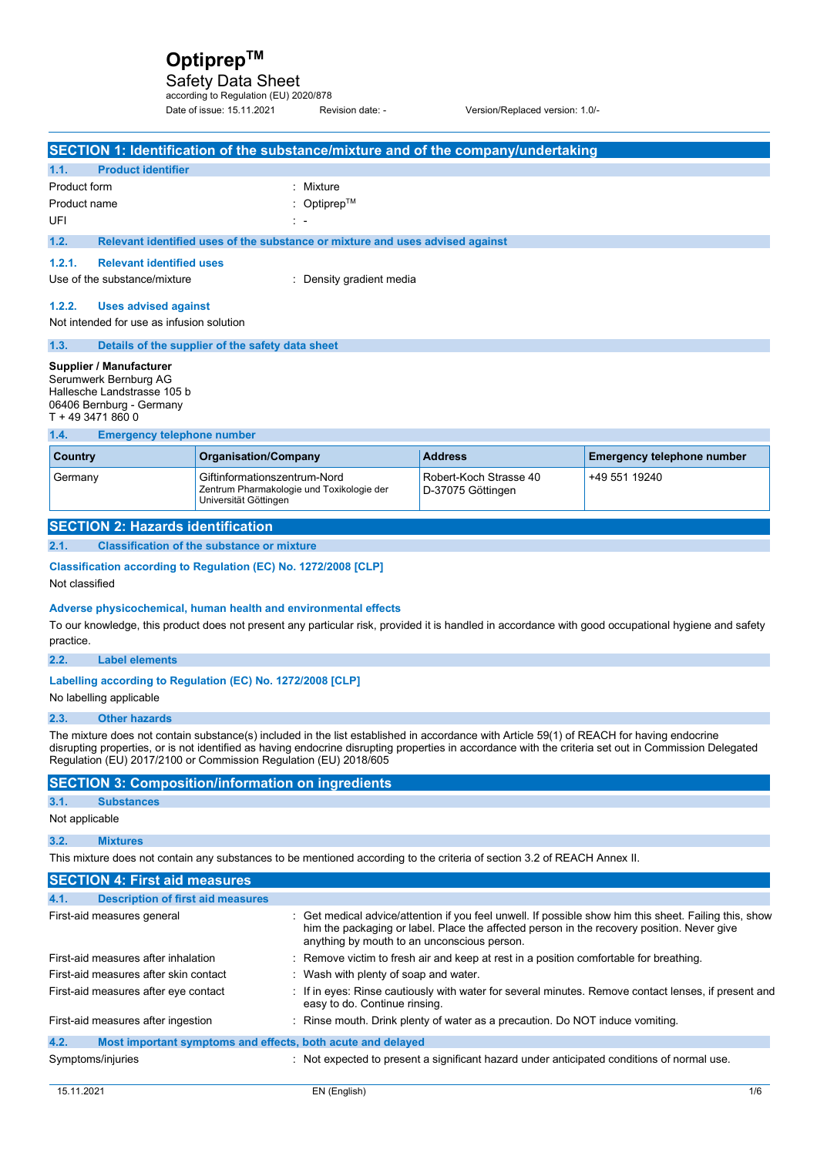Safety Data Sheet according to Regulation (EU) 2020/878

Date of issue: 15.11.2021 Revision date: - Version/Replaced version: 1.0/-

|                                                                                                                                                                                                                                                                                                                                                                        |                                 |                                                                                                    |                                                                               | SECTION 1: Identification of the substance/mixture and of the company/undertaking                                        |                                                                                                                                                     |
|------------------------------------------------------------------------------------------------------------------------------------------------------------------------------------------------------------------------------------------------------------------------------------------------------------------------------------------------------------------------|---------------------------------|----------------------------------------------------------------------------------------------------|-------------------------------------------------------------------------------|--------------------------------------------------------------------------------------------------------------------------|-----------------------------------------------------------------------------------------------------------------------------------------------------|
| 1.1.                                                                                                                                                                                                                                                                                                                                                                   | <b>Product identifier</b>       |                                                                                                    |                                                                               |                                                                                                                          |                                                                                                                                                     |
| <b>Product form</b>                                                                                                                                                                                                                                                                                                                                                    |                                 |                                                                                                    | : Mixture                                                                     |                                                                                                                          |                                                                                                                                                     |
| Product name                                                                                                                                                                                                                                                                                                                                                           |                                 |                                                                                                    | : Optiprep <sup>TM</sup>                                                      |                                                                                                                          |                                                                                                                                                     |
| UFI                                                                                                                                                                                                                                                                                                                                                                    |                                 |                                                                                                    |                                                                               |                                                                                                                          |                                                                                                                                                     |
| 1.2.                                                                                                                                                                                                                                                                                                                                                                   |                                 |                                                                                                    | Relevant identified uses of the substance or mixture and uses advised against |                                                                                                                          |                                                                                                                                                     |
| 1.2.1.                                                                                                                                                                                                                                                                                                                                                                 | <b>Relevant identified uses</b> |                                                                                                    |                                                                               |                                                                                                                          |                                                                                                                                                     |
| Use of the substance/mixture                                                                                                                                                                                                                                                                                                                                           |                                 |                                                                                                    | : Density gradient media                                                      |                                                                                                                          |                                                                                                                                                     |
| 1.2.2.                                                                                                                                                                                                                                                                                                                                                                 | <b>Uses advised against</b>     |                                                                                                    |                                                                               |                                                                                                                          |                                                                                                                                                     |
| Not intended for use as infusion solution                                                                                                                                                                                                                                                                                                                              |                                 |                                                                                                    |                                                                               |                                                                                                                          |                                                                                                                                                     |
| 1.3.                                                                                                                                                                                                                                                                                                                                                                   |                                 | Details of the supplier of the safety data sheet                                                   |                                                                               |                                                                                                                          |                                                                                                                                                     |
| Supplier / Manufacturer<br>Serumwerk Bernburg AG<br>Hallesche Landstrasse 105 b<br>06406 Bernburg - Germany<br>T + 49 3471 860 0                                                                                                                                                                                                                                       |                                 |                                                                                                    |                                                                               |                                                                                                                          |                                                                                                                                                     |
| 1.4.                                                                                                                                                                                                                                                                                                                                                                   |                                 | <b>Emergency telephone number</b>                                                                  |                                                                               |                                                                                                                          |                                                                                                                                                     |
| Country                                                                                                                                                                                                                                                                                                                                                                |                                 | <b>Organisation/Company</b>                                                                        |                                                                               | <b>Address</b>                                                                                                           | <b>Emergency telephone number</b>                                                                                                                   |
| Germany                                                                                                                                                                                                                                                                                                                                                                |                                 | Giftinformationszentrum-Nord<br>Zentrum Pharmakologie und Toxikologie der<br>Universität Göttingen |                                                                               | Robert-Koch Strasse 40<br>D-37075 Göttingen                                                                              | +49 551 19240                                                                                                                                       |
| <b>SECTION 2: Hazards identification</b>                                                                                                                                                                                                                                                                                                                               |                                 |                                                                                                    |                                                                               |                                                                                                                          |                                                                                                                                                     |
| 2.1.                                                                                                                                                                                                                                                                                                                                                                   |                                 | <b>Classification of the substance or mixture</b>                                                  |                                                                               |                                                                                                                          |                                                                                                                                                     |
| Not classified                                                                                                                                                                                                                                                                                                                                                         |                                 | Classification according to Regulation (EC) No. 1272/2008 [CLP]                                    |                                                                               |                                                                                                                          |                                                                                                                                                     |
| practice.<br>2.2.                                                                                                                                                                                                                                                                                                                                                      | <b>Label elements</b>           | Adverse physicochemical, human health and environmental effects                                    |                                                                               |                                                                                                                          | To our knowledge, this product does not present any particular risk, provided it is handled in accordance with good occupational hygiene and safety |
|                                                                                                                                                                                                                                                                                                                                                                        |                                 |                                                                                                    |                                                                               |                                                                                                                          |                                                                                                                                                     |
| No labelling applicable                                                                                                                                                                                                                                                                                                                                                |                                 | Labelling according to Regulation (EC) No. 1272/2008 [CLP]                                         |                                                                               |                                                                                                                          |                                                                                                                                                     |
| 2.3.                                                                                                                                                                                                                                                                                                                                                                   | <b>Other hazards</b>            |                                                                                                    |                                                                               |                                                                                                                          |                                                                                                                                                     |
| The mixture does not contain substance(s) included in the list established in accordance with Article 59(1) of REACH for having endocrine<br>disrupting properties, or is not identified as having endocrine disrupting properties in accordance with the criteria set out in Commission Delegated<br>Regulation (EU) 2017/2100 or Commission Regulation (EU) 2018/605 |                                 |                                                                                                    |                                                                               |                                                                                                                          |                                                                                                                                                     |
|                                                                                                                                                                                                                                                                                                                                                                        |                                 | <b>SECTION 3: Composition/information on ingredients</b>                                           |                                                                               |                                                                                                                          |                                                                                                                                                     |
| 3.1.<br><b>Substances</b>                                                                                                                                                                                                                                                                                                                                              |                                 |                                                                                                    |                                                                               |                                                                                                                          |                                                                                                                                                     |
| Not applicable                                                                                                                                                                                                                                                                                                                                                         |                                 |                                                                                                    |                                                                               |                                                                                                                          |                                                                                                                                                     |
| 3.2.<br><b>Mixtures</b>                                                                                                                                                                                                                                                                                                                                                |                                 |                                                                                                    |                                                                               |                                                                                                                          |                                                                                                                                                     |
|                                                                                                                                                                                                                                                                                                                                                                        |                                 |                                                                                                    |                                                                               | This mixture does not contain any substances to be mentioned according to the criteria of section 3.2 of REACH Annex II. |                                                                                                                                                     |
| <b>SECTION 4: First aid measures</b>                                                                                                                                                                                                                                                                                                                                   |                                 |                                                                                                    |                                                                               |                                                                                                                          |                                                                                                                                                     |
| 4.1.                                                                                                                                                                                                                                                                                                                                                                   |                                 | <b>Description of first aid measures</b>                                                           |                                                                               |                                                                                                                          |                                                                                                                                                     |
| First-aid measures general                                                                                                                                                                                                                                                                                                                                             |                                 |                                                                                                    |                                                                               | him the packaging or label. Place the affected person in the recovery position. Never give                               | : Get medical advice/attention if you feel unwell. If possible show him this sheet. Failing this, show                                              |
| First-aid measures after inhalation                                                                                                                                                                                                                                                                                                                                    |                                 |                                                                                                    | anything by mouth to an unconscious person.                                   | : Remove victim to fresh air and keep at rest in a position comfortable for breathing.                                   |                                                                                                                                                     |
| First-aid measures after skin contact                                                                                                                                                                                                                                                                                                                                  |                                 |                                                                                                    | : Wash with plenty of soap and water.                                         |                                                                                                                          |                                                                                                                                                     |
| First-aid measures after eye contact                                                                                                                                                                                                                                                                                                                                   |                                 |                                                                                                    | easy to do. Continue rinsing.                                                 |                                                                                                                          | : If in eyes: Rinse cautiously with water for several minutes. Remove contact lenses, if present and                                                |
| First-aid measures after ingestion                                                                                                                                                                                                                                                                                                                                     |                                 |                                                                                                    |                                                                               | : Rinse mouth. Drink plenty of water as a precaution. Do NOT induce vomiting.                                            |                                                                                                                                                     |
| 4.2.                                                                                                                                                                                                                                                                                                                                                                   |                                 |                                                                                                    | Most important symptoms and effects, both acute and delayed                   |                                                                                                                          |                                                                                                                                                     |
| Symptoms/injuries                                                                                                                                                                                                                                                                                                                                                      |                                 |                                                                                                    |                                                                               | : Not expected to present a significant hazard under anticipated conditions of normal use.                               |                                                                                                                                                     |
| 15.11.2021                                                                                                                                                                                                                                                                                                                                                             |                                 |                                                                                                    | EN (English)                                                                  |                                                                                                                          | 1/6                                                                                                                                                 |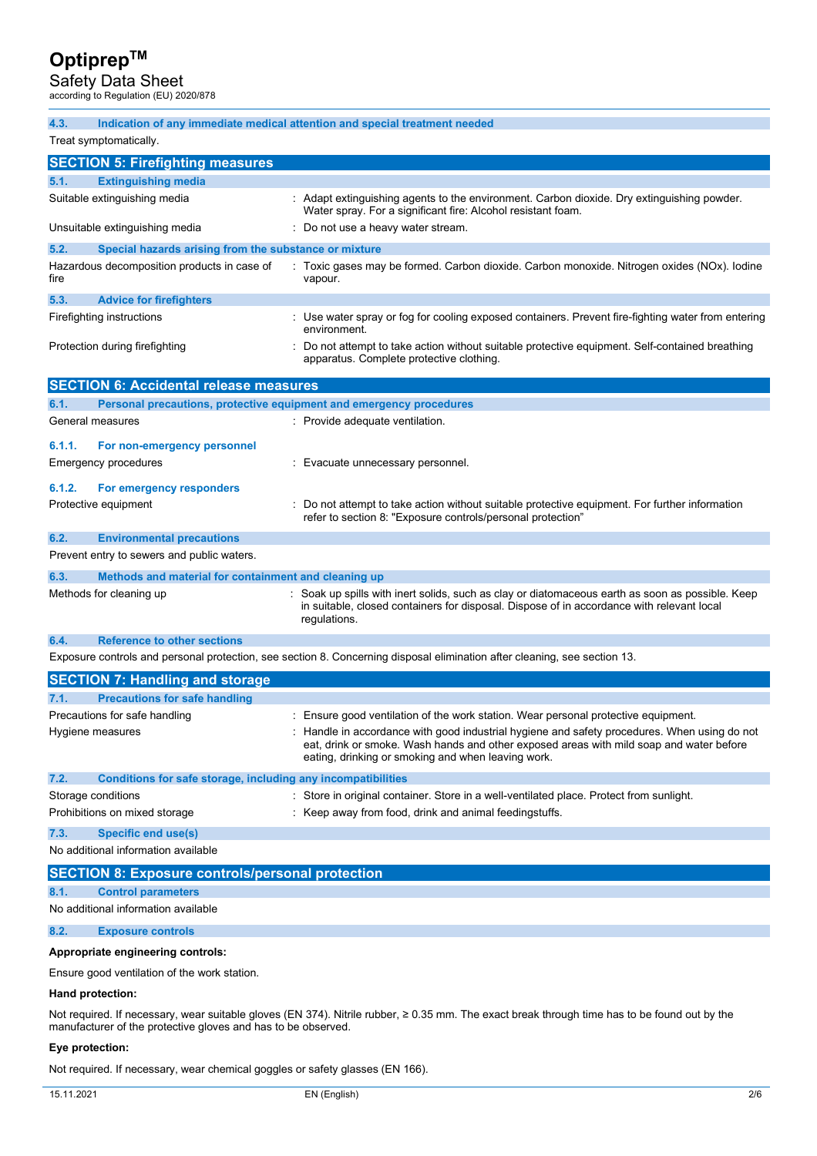Safety Data Sheet according to Regulation (EU) 2020/878

| 4.3.                                                    | Indication of any immediate medical attention and special treatment needed                                                                                                                                                                    |  |  |  |
|---------------------------------------------------------|-----------------------------------------------------------------------------------------------------------------------------------------------------------------------------------------------------------------------------------------------|--|--|--|
| Treat symptomatically.                                  |                                                                                                                                                                                                                                               |  |  |  |
| <b>SECTION 5: Firefighting measures</b>                 |                                                                                                                                                                                                                                               |  |  |  |
| 5.1.<br><b>Extinguishing media</b>                      |                                                                                                                                                                                                                                               |  |  |  |
| Suitable extinguishing media                            | : Adapt extinguishing agents to the environment. Carbon dioxide. Dry extinguishing powder.<br>Water spray. For a significant fire: Alcohol resistant foam.                                                                                    |  |  |  |
| Unsuitable extinguishing media                          | Do not use a heavy water stream.                                                                                                                                                                                                              |  |  |  |
| 5.2.                                                    | Special hazards arising from the substance or mixture                                                                                                                                                                                         |  |  |  |
| Hazardous decomposition products in case of<br>fire     | : Toxic gases may be formed. Carbon dioxide. Carbon monoxide. Nitrogen oxides (NOx). Iodine<br>vapour.                                                                                                                                        |  |  |  |
| 5.3.<br><b>Advice for firefighters</b>                  |                                                                                                                                                                                                                                               |  |  |  |
| Firefighting instructions                               | : Use water spray or fog for cooling exposed containers. Prevent fire-fighting water from entering<br>environment.                                                                                                                            |  |  |  |
| Protection during firefighting                          | Do not attempt to take action without suitable protective equipment. Self-contained breathing<br>apparatus. Complete protective clothing.                                                                                                     |  |  |  |
| <b>SECTION 6: Accidental release measures</b>           |                                                                                                                                                                                                                                               |  |  |  |
| 6.1.                                                    | Personal precautions, protective equipment and emergency procedures                                                                                                                                                                           |  |  |  |
| General measures                                        | : Provide adequate ventilation.                                                                                                                                                                                                               |  |  |  |
| 6.1.1.<br>For non-emergency personnel                   |                                                                                                                                                                                                                                               |  |  |  |
| Emergency procedures                                    | : Evacuate unnecessary personnel.                                                                                                                                                                                                             |  |  |  |
|                                                         |                                                                                                                                                                                                                                               |  |  |  |
| 6.1.2.<br>For emergency responders                      |                                                                                                                                                                                                                                               |  |  |  |
| Protective equipment                                    | Do not attempt to take action without suitable protective equipment. For further information<br>refer to section 8: "Exposure controls/personal protection"                                                                                   |  |  |  |
| 6.2.<br><b>Environmental precautions</b>                |                                                                                                                                                                                                                                               |  |  |  |
| Prevent entry to sewers and public waters.              |                                                                                                                                                                                                                                               |  |  |  |
| 6.3.                                                    | Methods and material for containment and cleaning up                                                                                                                                                                                          |  |  |  |
| Methods for cleaning up                                 | Soak up spills with inert solids, such as clay or diatomaceous earth as soon as possible. Keep<br>in suitable, closed containers for disposal. Dispose of in accordance with relevant local<br>regulations.                                   |  |  |  |
| 6.4.<br><b>Reference to other sections</b>              |                                                                                                                                                                                                                                               |  |  |  |
|                                                         | Exposure controls and personal protection, see section 8. Concerning disposal elimination after cleaning, see section 13.                                                                                                                     |  |  |  |
| <b>SECTION 7: Handling and storage</b>                  |                                                                                                                                                                                                                                               |  |  |  |
| <b>Precautions for safe handling</b><br>7.1.            |                                                                                                                                                                                                                                               |  |  |  |
| Precautions for safe handling                           | : Ensure good ventilation of the work station. Wear personal protective equipment.                                                                                                                                                            |  |  |  |
| Hygiene measures                                        | : Handle in accordance with good industrial hygiene and safety procedures. When using do not<br>eat, drink or smoke. Wash hands and other exposed areas with mild soap and water before<br>eating, drinking or smoking and when leaving work. |  |  |  |
| 7.2.                                                    | Conditions for safe storage, including any incompatibilities                                                                                                                                                                                  |  |  |  |
| Storage conditions                                      | : Store in original container. Store in a well-ventilated place. Protect from sunlight.                                                                                                                                                       |  |  |  |
| Prohibitions on mixed storage                           | : Keep away from food, drink and animal feedingstuffs.                                                                                                                                                                                        |  |  |  |
| 7.3.<br><b>Specific end use(s)</b>                      |                                                                                                                                                                                                                                               |  |  |  |
| No additional information available                     |                                                                                                                                                                                                                                               |  |  |  |
| <b>SECTION 8: Exposure controls/personal protection</b> |                                                                                                                                                                                                                                               |  |  |  |
| <b>Control parameters</b><br>8.1.                       |                                                                                                                                                                                                                                               |  |  |  |
| No additional information available                     |                                                                                                                                                                                                                                               |  |  |  |

**8.2. Exposure controls** 

### **Appropriate engineering controls:**

Ensure good ventilation of the work station.

#### **Hand protection:**

Not required. If necessary, wear suitable gloves (EN 374). Nitrile rubber, ≥ 0.35 mm. The exact break through time has to be found out by the manufacturer of the protective gloves and has to be observed.

### **Eye protection:**

Not required. If necessary, wear chemical goggles or safety glasses (EN 166).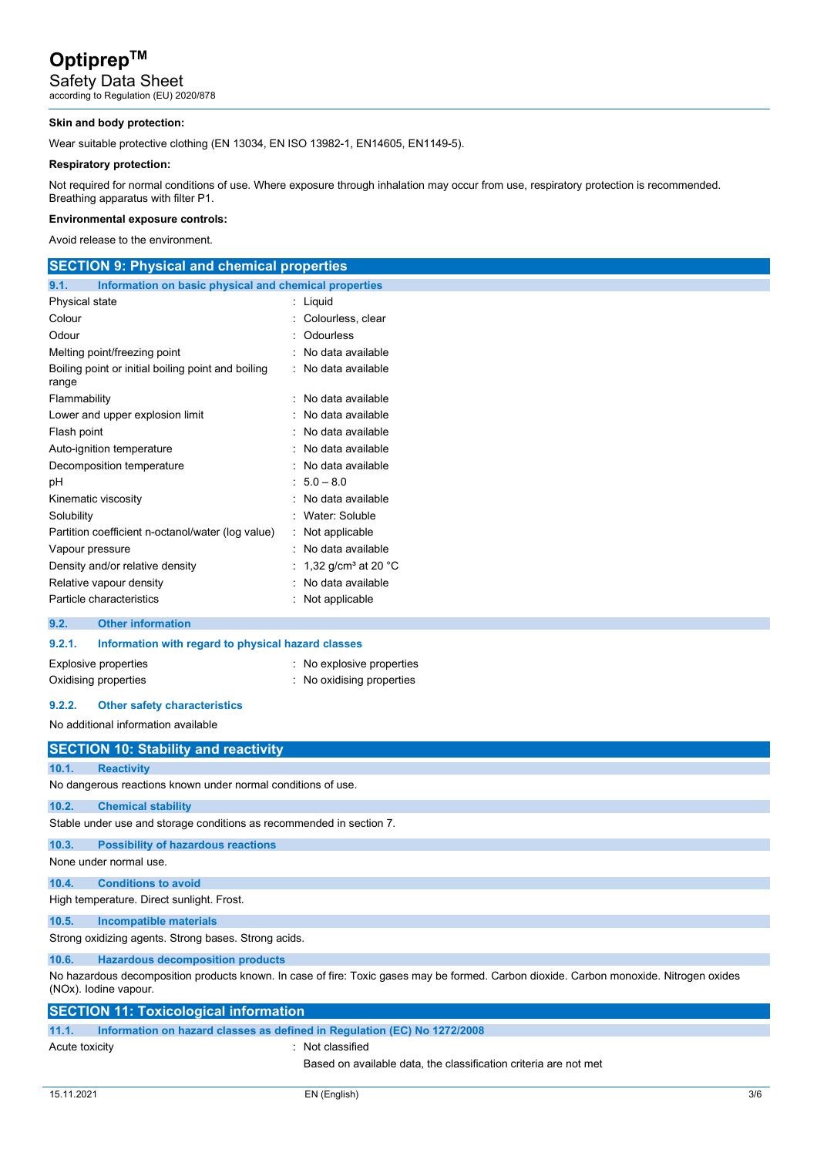Safety Data Sheet according to Regulation (EU) 2020/878

#### **Skin and body protection:**

Wear suitable protective clothing (EN 13034, EN ISO 13982-1, EN14605, EN1149-5).

### **Respiratory protection:**

Not required for normal conditions of use. Where exposure through inhalation may occur from use, respiratory protection is recommended. Breathing apparatus with filter P1.

#### **Environmental exposure controls:**

Avoid release to the environment.

| <b>SECTION 9: Physical and chemical properties</b>            |                                           |  |  |  |
|---------------------------------------------------------------|-------------------------------------------|--|--|--|
| Information on basic physical and chemical properties<br>9.1. |                                           |  |  |  |
| Physical state                                                | : Liquid                                  |  |  |  |
| Colour                                                        | Colourless, clear                         |  |  |  |
| Odour                                                         | Odourless                                 |  |  |  |
| Melting point/freezing point                                  | No data available                         |  |  |  |
| Boiling point or initial boiling point and boiling<br>range   | : No data available                       |  |  |  |
| Flammability                                                  | : No data available                       |  |  |  |
| Lower and upper explosion limit                               | No data available                         |  |  |  |
| Flash point                                                   | No data available                         |  |  |  |
| Auto-ignition temperature                                     | No data available                         |  |  |  |
| Decomposition temperature                                     | : No data available                       |  |  |  |
| pH                                                            | $: 5.0 - 8.0$                             |  |  |  |
| Kinematic viscosity                                           | No data available                         |  |  |  |
| Solubility                                                    | Water: Soluble                            |  |  |  |
| Partition coefficient n-octanol/water (log value)             | Not applicable                            |  |  |  |
| Vapour pressure                                               | : No data available                       |  |  |  |
| Density and/or relative density                               | 1,32 g/cm <sup>3</sup> at 20 $^{\circ}$ C |  |  |  |
| Relative vapour density                                       | No data available                         |  |  |  |
| Particle characteristics                                      | Not applicable                            |  |  |  |
| <b>Other information</b><br>9.2.                              |                                           |  |  |  |
| 9.2.1.<br>Information with regard to physical hazard classes  |                                           |  |  |  |

## Oxidising properties **in the CO**xidising properties : No oxidising properties

#### **9.2.2. Other safety characteristics**

Explosive properties **Explosive properties** : No explosive properties

No additional information available

|                                                      | <b>SECTION 10: Stability and reactivity</b>                                                                                                                      |  |  |  |
|------------------------------------------------------|------------------------------------------------------------------------------------------------------------------------------------------------------------------|--|--|--|
| 10.1.                                                | <b>Reactivity</b>                                                                                                                                                |  |  |  |
|                                                      | No dangerous reactions known under normal conditions of use.                                                                                                     |  |  |  |
| 10.2.                                                | <b>Chemical stability</b>                                                                                                                                        |  |  |  |
|                                                      | Stable under use and storage conditions as recommended in section 7.                                                                                             |  |  |  |
| 10.3.                                                | <b>Possibility of hazardous reactions</b>                                                                                                                        |  |  |  |
|                                                      | None under normal use.                                                                                                                                           |  |  |  |
| 10.4.                                                | <b>Conditions to avoid</b>                                                                                                                                       |  |  |  |
|                                                      | High temperature. Direct sunlight. Frost.                                                                                                                        |  |  |  |
| 10.5.                                                | Incompatible materials                                                                                                                                           |  |  |  |
| Strong oxidizing agents. Strong bases. Strong acids. |                                                                                                                                                                  |  |  |  |
| 10.6.                                                | <b>Hazardous decomposition products</b>                                                                                                                          |  |  |  |
|                                                      | No hazardous decomposition products known. In case of fire: Toxic gases may be formed. Carbon dioxide. Carbon monoxide. Nitrogen oxides<br>(NOx). Iodine vapour. |  |  |  |
|                                                      | <b>SECTION 11: Toxicological information</b>                                                                                                                     |  |  |  |

| 11.1.          | Information on hazard classes as defined in Regulation (EC) No 1272/2008 |                                                                  |  |
|----------------|--------------------------------------------------------------------------|------------------------------------------------------------------|--|
| Acute toxicity |                                                                          | Not classified                                                   |  |
|                |                                                                          | Based on available data, the classification criteria are not met |  |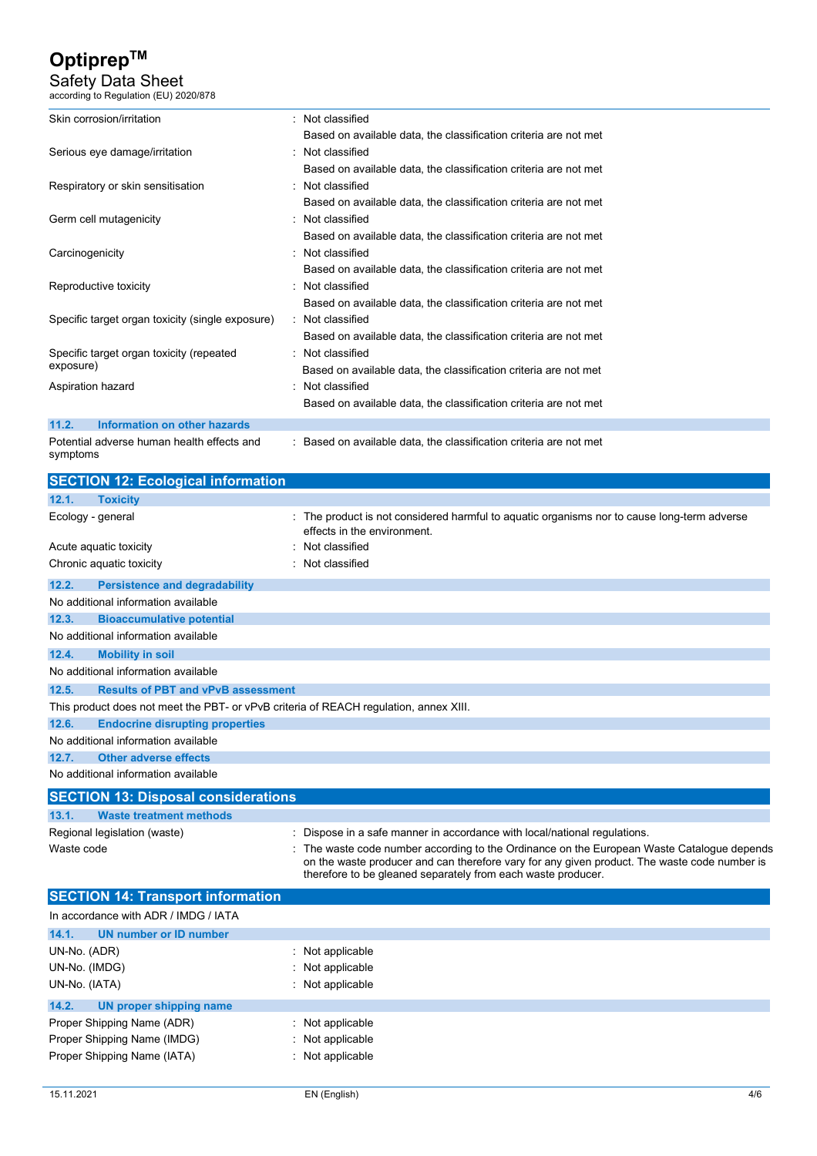Safety Data Sheet according to Regulation (EU) 2020/878

| Skin corrosion/irritation                              | : Not classified                                                 |
|--------------------------------------------------------|------------------------------------------------------------------|
|                                                        | Based on available data, the classification criteria are not met |
| Serious eye damage/irritation                          | Not classified                                                   |
|                                                        | Based on available data, the classification criteria are not met |
| Respiratory or skin sensitisation                      | Not classified                                                   |
|                                                        | Based on available data, the classification criteria are not met |
| Germ cell mutagenicity                                 | Not classified                                                   |
|                                                        | Based on available data, the classification criteria are not met |
| Carcinogenicity                                        | Not classified                                                   |
|                                                        | Based on available data, the classification criteria are not met |
| Reproductive toxicity                                  | Not classified                                                   |
|                                                        | Based on available data, the classification criteria are not met |
| Specific target organ toxicity (single exposure)       | Not classified                                                   |
|                                                        | Based on available data, the classification criteria are not met |
| Specific target organ toxicity (repeated               | : Not classified                                                 |
| exposure)                                              | Based on available data, the classification criteria are not met |
| Aspiration hazard                                      | Not classified                                                   |
|                                                        | Based on available data, the classification criteria are not met |
| 11.2.<br>Information on other hazards                  |                                                                  |
| Potential adverse human health effects and<br>symptoms | Based on available data, the classification criteria are not met |

|                   | <b>SECTION 12: Ecological information</b>                                             |                                                                                                                                                                                                                                                          |
|-------------------|---------------------------------------------------------------------------------------|----------------------------------------------------------------------------------------------------------------------------------------------------------------------------------------------------------------------------------------------------------|
| 12.1.             | <b>Toxicity</b>                                                                       |                                                                                                                                                                                                                                                          |
| Ecology - general |                                                                                       | : The product is not considered harmful to aquatic organisms nor to cause long-term adverse<br>effects in the environment.                                                                                                                               |
|                   | Acute aquatic toxicity                                                                | Not classified                                                                                                                                                                                                                                           |
|                   | Chronic aquatic toxicity                                                              | Not classified                                                                                                                                                                                                                                           |
| 12.2.             | <b>Persistence and degradability</b>                                                  |                                                                                                                                                                                                                                                          |
|                   | No additional information available                                                   |                                                                                                                                                                                                                                                          |
| 12.3.             | <b>Bioaccumulative potential</b>                                                      |                                                                                                                                                                                                                                                          |
|                   | No additional information available                                                   |                                                                                                                                                                                                                                                          |
| 12.4.             | <b>Mobility in soil</b>                                                               |                                                                                                                                                                                                                                                          |
|                   | No additional information available                                                   |                                                                                                                                                                                                                                                          |
| 12.5.             | <b>Results of PBT and vPvB assessment</b>                                             |                                                                                                                                                                                                                                                          |
|                   | This product does not meet the PBT- or vPvB criteria of REACH regulation, annex XIII. |                                                                                                                                                                                                                                                          |
| 12.6.             | <b>Endocrine disrupting properties</b>                                                |                                                                                                                                                                                                                                                          |
|                   | No additional information available                                                   |                                                                                                                                                                                                                                                          |
| 12.7.             | <b>Other adverse effects</b>                                                          |                                                                                                                                                                                                                                                          |
|                   | No additional information available                                                   |                                                                                                                                                                                                                                                          |
|                   | <b>SECTION 13: Disposal considerations</b>                                            |                                                                                                                                                                                                                                                          |
| 13.1.             | <b>Waste treatment methods</b>                                                        |                                                                                                                                                                                                                                                          |
|                   | Regional legislation (waste)                                                          | Dispose in a safe manner in accordance with local/national regulations.                                                                                                                                                                                  |
| Waste code        |                                                                                       | The waste code number according to the Ordinance on the European Waste Catalogue depends<br>on the waste producer and can therefore vary for any given product. The waste code number is<br>therefore to be gleaned separately from each waste producer. |
|                   | <b>SECTION 14: Transport information</b>                                              |                                                                                                                                                                                                                                                          |
|                   | In accordance with ADR / IMDG / IATA                                                  |                                                                                                                                                                                                                                                          |
| 14.1.             | UN number or ID number                                                                |                                                                                                                                                                                                                                                          |
| UN-No. (ADR)      |                                                                                       | Not applicable                                                                                                                                                                                                                                           |
| UN-No. (IMDG)     |                                                                                       | Not applicable                                                                                                                                                                                                                                           |
| UN-No. (IATA)     |                                                                                       | Not applicable                                                                                                                                                                                                                                           |
| 14.2.             | UN proper shipping name                                                               |                                                                                                                                                                                                                                                          |

| 14.Z.<br><b>UN proper simpping name</b> |                    |
|-----------------------------------------|--------------------|
| Proper Shipping Name (ADR)              | $:$ Not applicable |
| Proper Shipping Name (IMDG)             | $:$ Not applicable |
| Proper Shipping Name (IATA)             | $:$ Not applicable |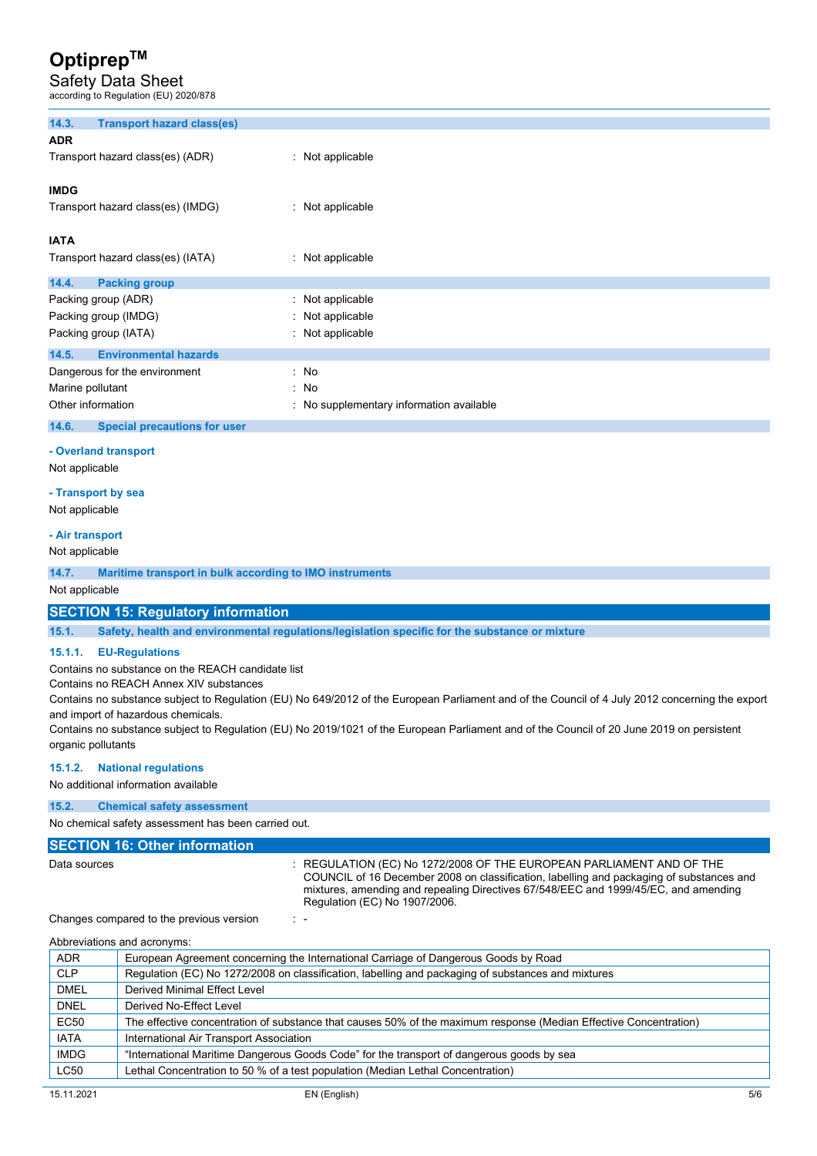Safety Data Sheet n (EU) 2020/879

| according to regulation (LO) 2020/070 |                                     |                                          |
|---------------------------------------|-------------------------------------|------------------------------------------|
| 14.3.                                 | <b>Transport hazard class(es)</b>   |                                          |
| <b>ADR</b>                            |                                     |                                          |
|                                       | Transport hazard class(es) (ADR)    | : Not applicable                         |
| <b>IMDG</b>                           |                                     |                                          |
|                                       | Transport hazard class(es) (IMDG)   | : Not applicable                         |
| <b>IATA</b>                           |                                     |                                          |
|                                       | Transport hazard class(es) (IATA)   | : Not applicable                         |
| 14.4.                                 | <b>Packing group</b>                |                                          |
|                                       | Packing group (ADR)                 | : Not applicable                         |
| Packing group (IMDG)                  |                                     | : Not applicable                         |
|                                       | Packing group (IATA)                | : Not applicable                         |
| 14.5.                                 | <b>Environmental hazards</b>        |                                          |
|                                       | Dangerous for the environment       | : No                                     |
| Marine pollutant                      |                                     | $\cdot$ No                               |
| Other information                     |                                     | : No supplementary information available |
| 14.6.                                 | <b>Special precautions for user</b> |                                          |

#### **- Overland transport**

Not applicable

#### **- Transport by sea**

Not applicable

#### **- Air transport**

#### Not applicable

**14.7. Maritime transport in bulk according to IMO instruments** 

Not applicable

#### **SECTION 15: Regulatory information**

**15.1. Safety, health and environmental regulations/legislation specific for the substance or mixture** 

#### **15.1.1. EU-Regulations**

Contains no substance on the REACH candidate list

Contains no REACH Annex XIV substances

Contains no substance subject to Regulation (EU) No 649/2012 of the European Parliament and of the Council of 4 July 2012 concerning the export and import of hazardous chemicals.

Contains no substance subject to Regulation (EU) No 2019/1021 of the European Parliament and of the Council of 20 June 2019 on persistent organic pollutants

#### **15.1.2. National regulations**

No additional information available

### **15.2. Chemical safety assessment**

No chemical safety assessment has been carried out.

### **SECTION 16: Other information**

Data sources : REGULATION (EC) No 1272/2008 OF THE EUROPEAN PARLIAMENT AND OF THE COUNCIL of 16 December 2008 on classification, labelling and packaging of substances and mixtures, amending and repealing Directives 67/548/EEC and 1999/45/EC, and amending Regulation (EC) No 1907/2006.

Changes compared to the previous version : -

| Abbreviations and acronyms: |                                                                                                                   |  |  |  |
|-----------------------------|-------------------------------------------------------------------------------------------------------------------|--|--|--|
| <b>ADR</b>                  | European Agreement concerning the International Carriage of Dangerous Goods by Road                               |  |  |  |
| <b>CLP</b>                  | Regulation (EC) No 1272/2008 on classification, labelling and packaging of substances and mixtures                |  |  |  |
| <b>DMEL</b>                 | Derived Minimal Effect Level                                                                                      |  |  |  |
| <b>DNEL</b>                 | Derived No-Effect Level                                                                                           |  |  |  |
| EC50                        | The effective concentration of substance that causes 50% of the maximum response (Median Effective Concentration) |  |  |  |
| <b>IATA</b>                 | International Air Transport Association                                                                           |  |  |  |
| <b>IMDG</b>                 | "International Maritime Dangerous Goods Code" for the transport of dangerous goods by sea                         |  |  |  |
| <b>LC50</b>                 | Lethal Concentration to 50 % of a test population (Median Lethal Concentration)                                   |  |  |  |
|                             |                                                                                                                   |  |  |  |